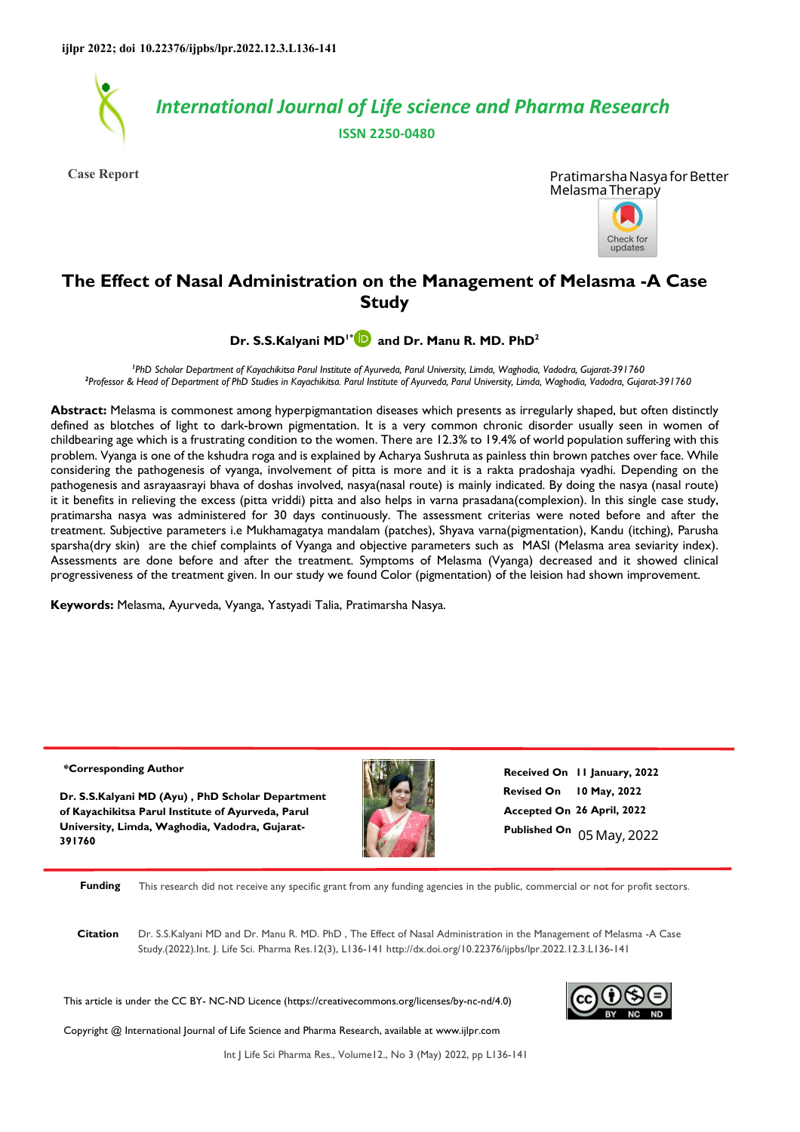

**Case Report**



# **The Effect of Nasal Administration on the Management of Melasma -A Case Study**

**Dr. S.S.Kalyani MD1[\\*](https://orcid.org/0000-0002-8181-0376) and Dr. Manu R. MD. PhD<sup>2</sup>**

*1 PhD Scholar Department of Kayachikitsa Parul Institute of Ayurveda, Parul University, Limda, Waghodia, Vadodra, Gujarat-391760 2 Professor & Head of Department of PhD Studies in Kayachikitsa. Parul Institute of Ayurveda, Parul University, Limda, Waghodia, Vadodra, Gujarat-391760* 

**Abstract:** Melasma is commonest among hyperpigmantation diseases which presents as irregularly shaped, but often distinctly defined as blotches of light to dark-brown pigmentation. It is a very common chronic disorder usually seen in women of childbearing age which is a frustrating condition to the women. There are 12.3% to 19.4% of world population suffering with this problem. Vyanga is one of the kshudra roga and is explained by Acharya Sushruta as painless thin brown patches over face. While considering the pathogenesis of vyanga, involvement of pitta is more and it is a rakta pradoshaja vyadhi. Depending on the pathogenesis and asrayaasrayi bhava of doshas involved, nasya(nasal route) is mainly indicated. By doing the nasya (nasal route) it it benefits in relieving the excess (pitta vriddi) pitta and also helps in varna prasadana(complexion). In this single case study, pratimarsha nasya was administered for 30 days continuously. The assessment criterias were noted before and after the treatment. Subjective parameters i.e Mukhamagatya mandalam (patches), Shyava varna(pigmentation), Kandu (itching), Parusha sparsha(dry skin) are the chief complaints of Vyanga and objective parameters such as MASI (Melasma area seviarity index). Assessments are done before and after the treatment. Symptoms of Melasma (Vyanga) decreased and it showed clinical progressiveness of the treatment given. In our study we found Color (pigmentation) of the leision had shown improvement.

**Keywords:** Melasma, Ayurveda, Vyanga, Yastyadi Talia, Pratimarsha Nasya.

#### **\*Corresponding Author**

**Dr. S.S.Kalyani MD (Ayu) , PhD Scholar Department of Kayachikitsa Parul Institute of Ayurveda, Parul University, Limda, Waghodia, Vadodra, Gujarat-391760**



**Revised On 10 May, 2022 Accepted On 26 April, 2022 Published On** 05 May, 2022 **Received On 11 January, 2022**

**Funding** This research did not receive any specific grant from any funding agencies in the public, commercial or not for profit sectors.

**Citation** Dr. S.S.Kalyani MD and Dr. Manu R. MD. PhD , The Effect of Nasal Administration in the Management of Melasma -A Case Study.(2022).Int. J. Life Sci. Pharma Res.12(3), L136-141 http://dx.doi.org/10.22376/ijpbs/lpr.2022.12.3.L136-141

This article is under the CC BY- NC-ND Licence (https://creativecommons.org/licenses/by-nc-nd/4.0)



Copyright @ International Journal of Life Science and Pharma Research, available at www.ijlpr.com

Int J Life Sci Pharma Res., Volume12., No 3 (May) 2022, pp L136-141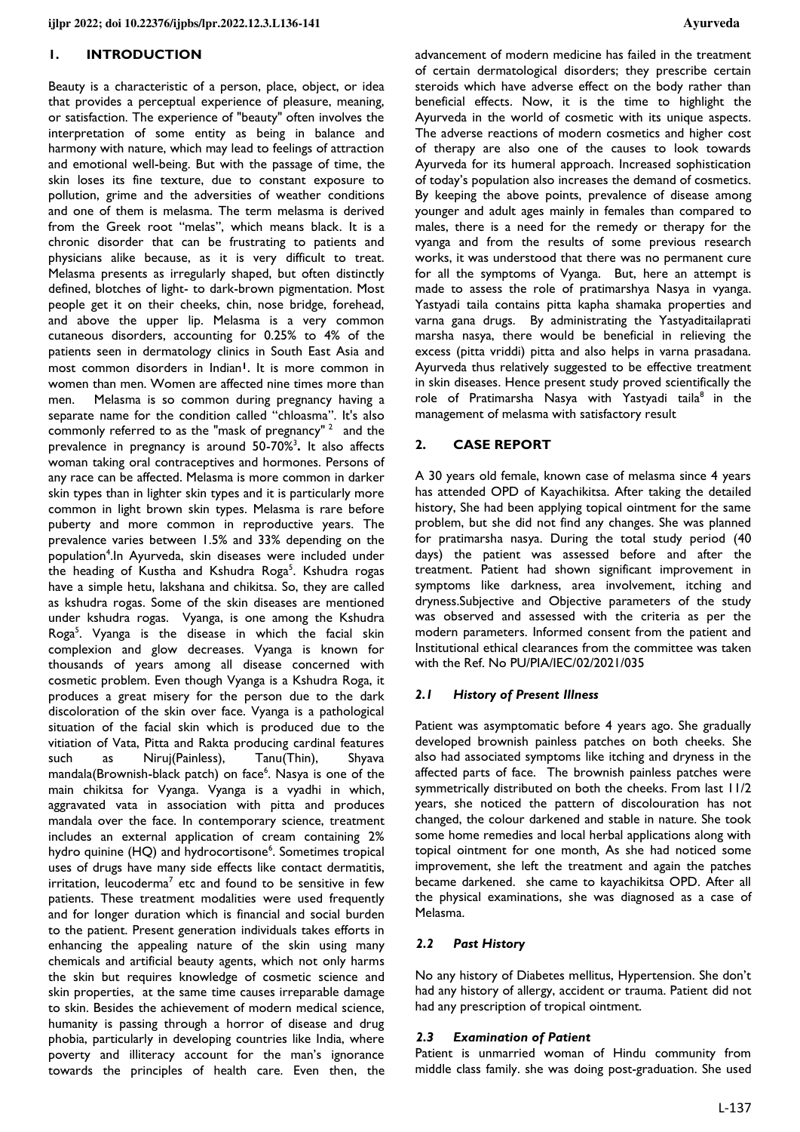### **1. INTRODUCTION**

Beauty is a characteristic of a person, place, object, or idea that provides a perceptual experience of pleasure, meaning, or satisfaction. The experience of "beauty" often involves the interpretation of some entity as being in balance and harmony with nature, which may lead to feelings of attraction and emotional well-being. But with the passage of time, the skin loses its fine texture, due to constant exposure to pollution, grime and the adversities of weather conditions and one of them is melasma. The term melasma is derived from the Greek root "melas", which means black. It is a chronic disorder that can be frustrating to patients and physicians alike because, as it is very difficult to treat. Melasma presents as irregularly shaped, but often distinctly defined, blotches of light- to dark-brown pigmentation. Most people get it on their cheeks, chin, nose bridge, forehead, and above the upper lip. Melasma is a very common cutaneous disorders, accounting for 0.25% to 4% of the patients seen in dermatology clinics in South East Asia and most common disorders in Indian**<sup>1</sup>**. It is more common in women than men. Women are affected nine times more than men. Melasma is so common during pregnancy having a separate name for the condition called "chloasma". It's also commonly referred to as the "mask of pregnancy"  $2$  and the prevalence in pregnancy is around 50-70%<sup>3</sup> **.** It also affects woman taking oral contraceptives and hormones. Persons of any race can be affected. Melasma is more common in darker skin types than in lighter skin types and it is particularly more common in light brown skin types. Melasma is rare before puberty and more common in reproductive years. The prevalence varies between 1.5% and 33% depending on the population<sup>4</sup>.In Ayurveda, skin diseases were included under the heading of Kustha and Kshudra Roga<sup>5</sup>. Kshudra rogas have a simple hetu, lakshana and chikitsa. So, they are called as kshudra rogas. Some of the skin diseases are mentioned under kshudra rogas. Vyanga, is one among the Kshudra Roga<sup>5</sup>. Vyanga is the disease in which the facial skin complexion and glow decreases. Vyanga is known for thousands of years among all disease concerned with cosmetic problem. Even though Vyanga is a Kshudra Roga, it produces a great misery for the person due to the dark discoloration of the skin over face. Vyanga is a pathological situation of the facial skin which is produced due to the vitiation of Vata, Pitta and Rakta producing cardinal features such as Niruj(Painless), Tanu(Thin), Shyava mandala(Brownish-black patch) on face<sup>6</sup>. Nasya is one of the main chikitsa for Vyanga. Vyanga is a vyadhi in which, aggravated vata in association with pitta and produces mandala over the face. In contemporary science, treatment includes an external application of cream containing 2% hydro quinine (HQ) and hydrocortisone<sup>6</sup>. Sometimes tropical uses of drugs have many side effects like contact dermatitis, irritation, leucoderma<sup>7</sup> etc and found to be sensitive in few patients. These treatment modalities were used frequently and for longer duration which is financial and social burden to the patient. Present generation individuals takes efforts in enhancing the appealing nature of the skin using many chemicals and artificial beauty agents, which not only harms the skin but requires knowledge of cosmetic science and skin properties, at the same time causes irreparable damage to skin. Besides the achievement of modern medical science, humanity is passing through a horror of disease and drug phobia, particularly in developing countries like India, where poverty and illiteracy account for the man's ignorance towards the principles of health care. Even then, the

advancement of modern medicine has failed in the treatment of certain dermatological disorders; they prescribe certain steroids which have adverse effect on the body rather than beneficial effects. Now, it is the time to highlight the Ayurveda in the world of cosmetic with its unique aspects. The adverse reactions of modern cosmetics and higher cost of therapy are also one of the causes to look towards Ayurveda for its humeral approach. Increased sophistication of today's population also increases the demand of cosmetics. By keeping the above points, prevalence of disease among younger and adult ages mainly in females than compared to males, there is a need for the remedy or therapy for the vyanga and from the results of some previous research works, it was understood that there was no permanent cure for all the symptoms of Vyanga. But, here an attempt is made to assess the role of pratimarshya Nasya in vyanga. Yastyadi taila contains pitta kapha shamaka properties and varna gana drugs. By administrating the Yastyaditailaprati marsha nasya, there would be beneficial in relieving the excess (pitta vriddi) pitta and also helps in varna prasadana. Ayurveda thus relatively suggested to be effective treatment in skin diseases. Hence present study proved scientifically the role of Pratimarsha Nasya with Yastyadi taila<sup>8</sup> in the management of melasma with satisfactory result

## **2. CASE REPORT**

A 30 years old female, known case of melasma since 4 years has attended OPD of Kayachikitsa. After taking the detailed history, She had been applying topical ointment for the same problem, but she did not find any changes. She was planned for pratimarsha nasya. During the total study period (40 days) the patient was assessed before and after the treatment. Patient had shown significant improvement in symptoms like darkness, area involvement, itching and dryness.Subjective and Objective parameters of the study was observed and assessed with the criteria as per the modern parameters. Informed consent from the patient and Institutional ethical clearances from the committee was taken with the Ref. No PU/PIA/IEC/02/2021/035

## *2.1 History of Present Illness*

Patient was asymptomatic before 4 years ago. She gradually developed brownish painless patches on both cheeks. She also had associated symptoms like itching and dryness in the affected parts of face. The brownish painless patches were symmetrically distributed on both the cheeks. From last 11/2 years, she noticed the pattern of discolouration has not changed, the colour darkened and stable in nature. She took some home remedies and local herbal applications along with topical ointment for one month, As she had noticed some improvement, she left the treatment and again the patches became darkened. she came to kayachikitsa OPD. After all the physical examinations, she was diagnosed as a case of Melasma.

## *2.2 Past History*

No any history of Diabetes mellitus, Hypertension. She don't had any history of allergy, accident or trauma. Patient did not had any prescription of tropical ointment.

## *2.3 Examination of Patient*

Patient is unmarried woman of Hindu community from middle class family. she was doing post-graduation. She used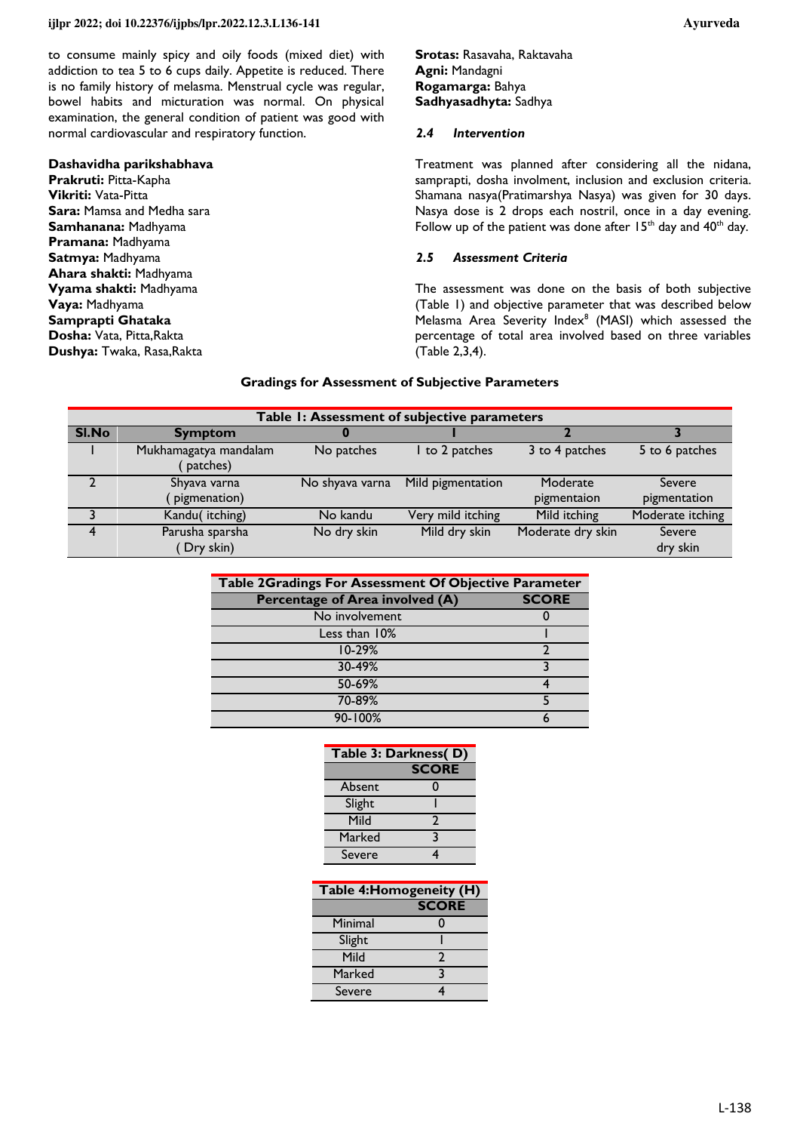to consume mainly spicy and oily foods (mixed diet) with addiction to tea 5 to 6 cups daily. Appetite is reduced. There is no family history of melasma. Menstrual cycle was regular, bowel habits and micturation was normal. On physical examination, the general condition of patient was good with normal cardiovascular and respiratory function.

#### **Dashavidha parikshabhava**

**Prakruti:** Pitta-Kapha **Vikriti:** Vata-Pitta **Sara:** Mamsa and Medha sara **Samhanana:** Madhyama **Pramana:** Madhyama **Satmya:** Madhyama **Ahara shakti:** Madhyama **Vyama shakti:** Madhyama **Vaya:** Madhyama **Samprapti Ghataka Dosha:** Vata, Pitta,Rakta **Dushya:** Twaka, Rasa,Rakta

**Srotas:** Rasavaha, Raktavaha **Agni:** Mandagni **Rogamarga:** Bahya **Sadhyasadhyta:** Sadhya

#### *2.4 Intervention*

Treatment was planned after considering all the nidana, samprapti, dosha involment, inclusion and exclusion criteria. Shamana nasya(Pratimarshya Nasya) was given for 30 days. Nasya dose is 2 drops each nostril, once in a day evening. Follow up of the patient was done after  $15<sup>th</sup>$  day and  $40<sup>th</sup>$  day.

### *2.5 Assessment Criteria*

The assessment was done on the basis of both subjective (Table 1) and objective parameter that was described below Melasma Area Severity Index<sup>8</sup> (MASI) which assessed the percentage of total area involved based on three variables (Table 2,3,4).

#### **Gradings for Assessment of Subjective Parameters**

| Table 1: Assessment of subjective parameters |                       |                 |                   |                   |                  |  |
|----------------------------------------------|-----------------------|-----------------|-------------------|-------------------|------------------|--|
| SI.No                                        | <b>Symptom</b>        |                 |                   |                   |                  |  |
|                                              | Mukhamagatya mandalam | No patches      | I to 2 patches    | 3 to 4 patches    | 5 to 6 patches   |  |
|                                              | patches)              |                 |                   |                   |                  |  |
|                                              | Shyava varna          | No shyava varna | Mild pigmentation | Moderate          | Severe           |  |
|                                              | pigmenation)          |                 |                   | pigmentaion       | pigmentation     |  |
|                                              | Kandu(itching)        | No kandu        | Very mild itching | Mild itching      | Moderate itching |  |
|                                              | Parusha sparsha       | No dry skin     | Mild dry skin     | Moderate dry skin | Severe           |  |
|                                              | Dry skin)             |                 |                   |                   | dry skin         |  |

| Table 2Gradings For Assessment Of Objective Parameter |              |  |  |  |
|-------------------------------------------------------|--------------|--|--|--|
| <b>Percentage of Area involved (A)</b>                | <b>SCORE</b> |  |  |  |
| No involvement                                        |              |  |  |  |
| Less than 10%                                         |              |  |  |  |
| $10 - 29%$                                            | ำ            |  |  |  |
| 30-49%                                                |              |  |  |  |
| 50-69%                                                |              |  |  |  |
| 70-89%                                                |              |  |  |  |
| 90-100%                                               |              |  |  |  |

| Table 3: Darkness(D)<br><b>SCORE</b> |               |  |  |  |
|--------------------------------------|---------------|--|--|--|
|                                      |               |  |  |  |
| Absent                               | O             |  |  |  |
| Slight                               |               |  |  |  |
| Mild                                 | $\mathcal{P}$ |  |  |  |
| Marked                               | 3             |  |  |  |
| Severe                               |               |  |  |  |

| Table 4: Homogeneity (H) |              |  |
|--------------------------|--------------|--|
|                          | <b>SCORE</b> |  |
| Minimal                  | n            |  |
| Slight                   |              |  |
| Mild                     | 2            |  |
| Marked                   |              |  |
| Severe                   |              |  |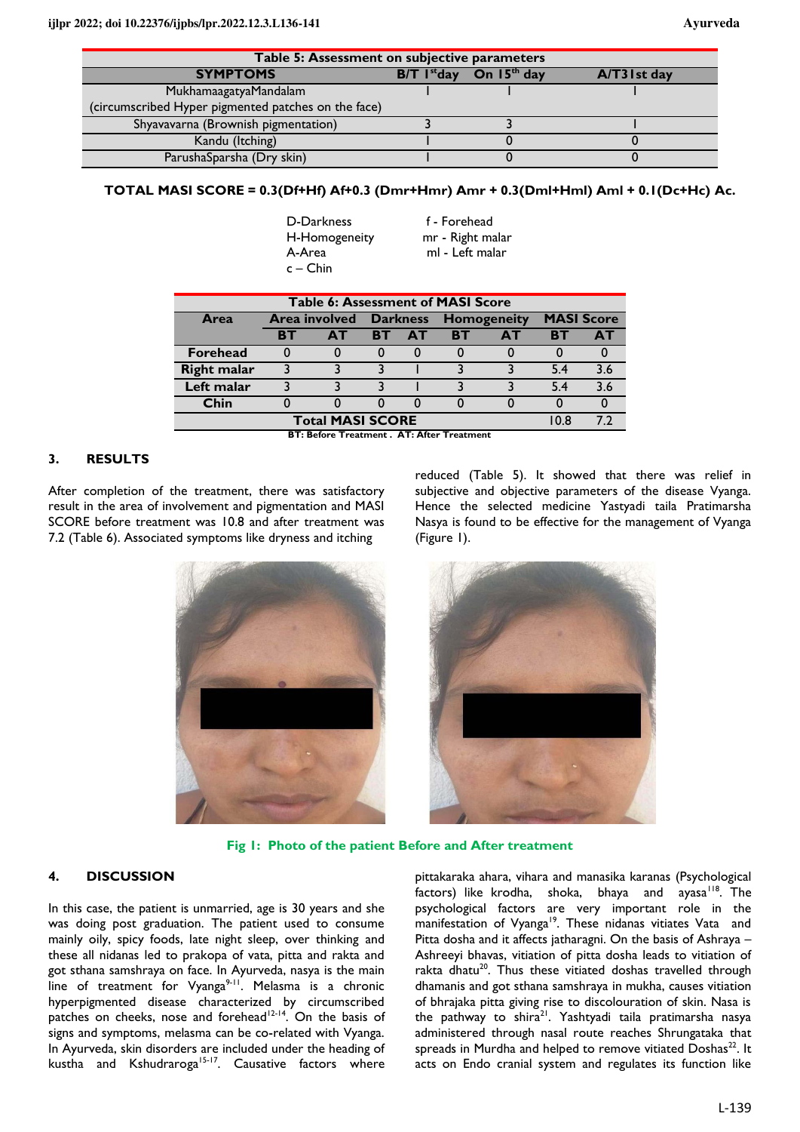| Table 5: Assessment on subjective parameters        |                           |               |                 |  |  |
|-----------------------------------------------------|---------------------------|---------------|-----------------|--|--|
| <b>SYMPTOMS</b>                                     | $B/T$ l <sup>st</sup> day | On $15th$ day | $A/T3$ l st day |  |  |
| MukhamaagatyaMandalam                               |                           |               |                 |  |  |
| (circumscribed Hyper pigmented patches on the face) |                           |               |                 |  |  |
| Shyavavarna (Brownish pigmentation)                 |                           |               |                 |  |  |
| Kandu (Itching)                                     |                           |               |                 |  |  |
| ParushaSparsha (Dry skin)                           |                           |               |                 |  |  |

## **TOTAL MASI SCORE = 0.3(Df+Hf) Af+0.3 (Dmr+Hmr) Amr + 0.3(Dml+Hml) Aml + 0.1(Dc+Hc) Ac.**

| D-Darkness    | f - Forehead     |
|---------------|------------------|
| H-Homogeneity | mr - Right malar |
| A-Area        | ml - Left malar  |
| $c -$ Chin    |                  |

| <b>Table 6: Assessment of MASI Score</b> |                      |     |                 |           |                    |    |                   |     |
|------------------------------------------|----------------------|-----|-----------------|-----------|--------------------|----|-------------------|-----|
| <b>Area</b>                              | <b>Area involved</b> |     | <b>Darkness</b> |           | <b>Homogeneity</b> |    | <b>MASI Score</b> |     |
|                                          | RT                   | AT. | <b>BT</b>       | <b>AT</b> | <b>BT</b>          | ΔT | <b>RT</b>         | ΔI  |
| <b>Forehead</b>                          |                      |     |                 |           |                    |    |                   |     |
| <b>Right malar</b>                       |                      |     |                 |           |                    |    | 54                | 3.6 |
| Left malar                               |                      |     |                 |           |                    |    | 54                | 3.6 |
| Chin                                     |                      |     |                 |           |                    |    |                   |     |
| <b>Total MASI SCORE</b>                  |                      |     |                 |           | 10 B               |    |                   |     |

**BT: Before Treatment . AT: After Treatment** 

## **3. RESULTS**

After completion of the treatment, there was satisfactory result in the area of involvement and pigmentation and MASI SCORE before treatment was 10.8 and after treatment was 7.2 (Table 6). Associated symptoms like dryness and itching

reduced (Table 5). It showed that there was relief in subjective and objective parameters of the disease Vyanga. Hence the selected medicine Yastyadi taila Pratimarsha Nasya is found to be effective for the management of Vyanga (Figure 1).



**Fig 1: Photo of the patient Before and After treatment** 

## **4. DISCUSSION**

In this case, the patient is unmarried, age is 30 years and she was doing post graduation. The patient used to consume mainly oily, spicy foods, late night sleep, over thinking and these all nidanas led to prakopa of vata, pitta and rakta and got sthana samshraya on face. In Ayurveda, nasya is the main line of treatment for Vyanga<sup>9-11</sup>. Melasma is a chronic hyperpigmented disease characterized by circumscribed patches on cheeks, nose and forehead<sup>12-14</sup>. On the basis of signs and symptoms, melasma can be co-related with Vyanga. In Ayurveda, skin disorders are included under the heading of kustha and Kshudraroga<sup>15-17</sup>. Causative factors where

pittakaraka ahara, vihara and manasika karanas (Psychological factors) like krodha, shoka, bhaya and ayasa $118$ . The psychological factors are very important role in the manifestation of Vyanga<sup>19</sup>. These nidanas vitiates Vata and Pitta dosha and it affects jatharagni. On the basis of Ashraya – Ashreeyi bhavas, vitiation of pitta dosha leads to vitiation of rakta dhatu<sup>20</sup>. Thus these vitiated doshas travelled through dhamanis and got sthana samshraya in mukha, causes vitiation of bhrajaka pitta giving rise to discolouration of skin. Nasa is the pathway to shira<sup>21</sup>. Yashtyadi taila pratimarsha nasya administered through nasal route reaches Shrungataka that spreads in Murdha and helped to remove vitiated Doshas $^{22}$ . It acts on Endo cranial system and regulates its function like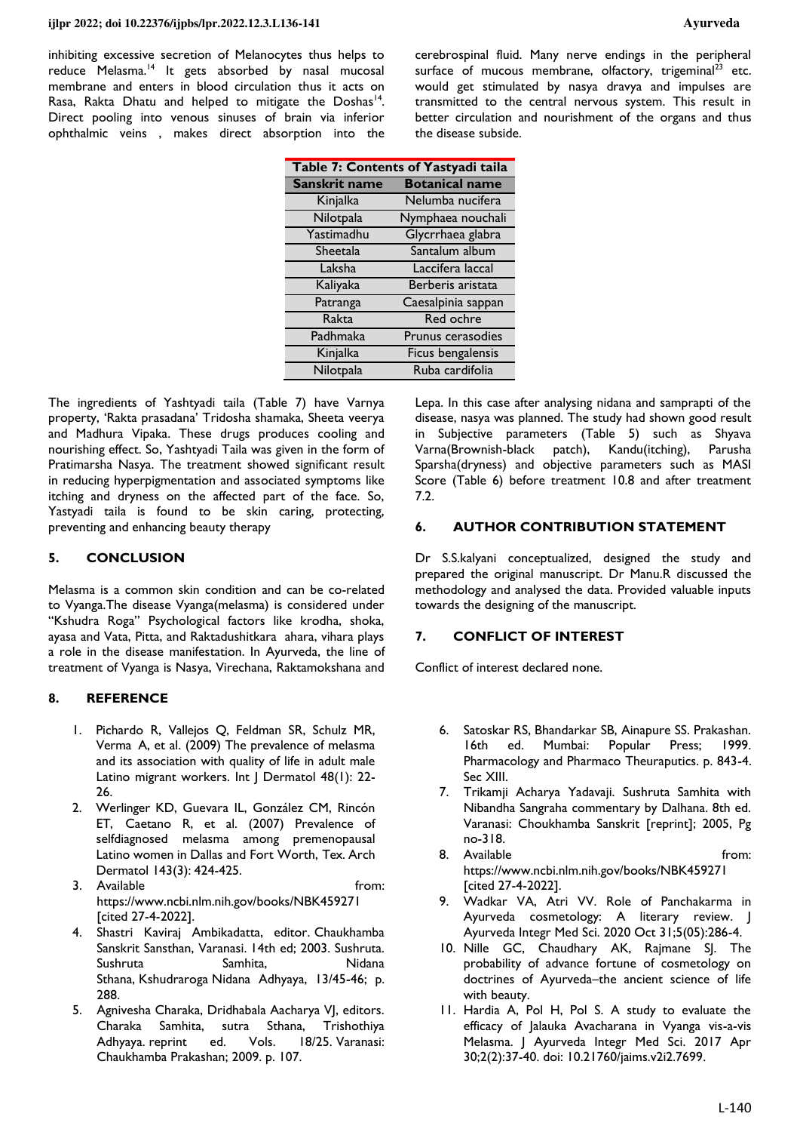#### **ijlpr 2022; doi 10.22376/ijpbs/lpr.2022.12.3.L136-141 Ayurveda**

cerebrospinal fluid. Many nerve endings in the peripheral surface of mucous membrane, olfactory, trigeminal $^{23}$  etc. would get stimulated by nasya dravya and impulses are transmitted to the central nervous system. This result in better circulation and nourishment of the organs and thus the disease subside.

| Table 7: Contents of Yastyadi taila |                       |  |  |  |
|-------------------------------------|-----------------------|--|--|--|
| Sanskrit name                       | <b>Botanical name</b> |  |  |  |
| Kinjalka                            | Nelumba nucifera      |  |  |  |
| Nilotpala                           | Nymphaea nouchali     |  |  |  |
| Yastimadhu                          | Glycrrhaea glabra     |  |  |  |
| Sheetala                            | Santalum album        |  |  |  |
| Laksha                              | Laccifera laccal      |  |  |  |
| Kaliyaka                            | Berberis aristata     |  |  |  |
| Patranga                            | Caesalpinia sappan    |  |  |  |
| Rakta                               | Red ochre             |  |  |  |
| Padhmaka                            | Prunus cerasodies     |  |  |  |
| Kinjalka                            | Ficus bengalensis     |  |  |  |
| Nilotpala                           | Ruba cardifolia       |  |  |  |

The ingredients of Yashtyadi taila (Table 7) have Varnya property, 'Rakta prasadana' Tridosha shamaka, Sheeta veerya and Madhura Vipaka. These drugs produces cooling and nourishing effect. So, Yashtyadi Taila was given in the form of Pratimarsha Nasya. The treatment showed significant result in reducing hyperpigmentation and associated symptoms like itching and dryness on the affected part of the face. So, Yastyadi taila is found to be skin caring, protecting, preventing and enhancing beauty therapy

## **5. CONCLUSION**

Melasma is a common skin condition and can be co-related to Vyanga.The disease Vyanga(melasma) is considered under "Kshudra Roga" Psychological factors like krodha, shoka, ayasa and Vata, Pitta, and Raktadushitkara ahara, vihara plays a role in the disease manifestation. In Ayurveda, the line of treatment of Vyanga is Nasya, Virechana, Raktamokshana and

## **8. REFERENCE**

- 1. [Pichardo R, Vallejos Q, Feldman SR, Schulz MR,](https://pubmed.ncbi.nlm.nih.gov/19126046/)  [Verma A, et al. \(2009\) The prevalence of melasma](https://pubmed.ncbi.nlm.nih.gov/19126046/)  [and its association with quality of life in adult male](https://pubmed.ncbi.nlm.nih.gov/19126046/)  Latino migrant workers. Int | Dermatol 48(1): 22-[26.](https://pubmed.ncbi.nlm.nih.gov/19126046/)
- 2. [Werlinger KD, Guevara IL, González CM, Rincón](https://pubmed.ncbi.nlm.nih.gov/17372115/)  [ET, Caetano R, et al. \(2007\) Prevalence of](https://pubmed.ncbi.nlm.nih.gov/17372115/)  [selfdiagnosed melasma among premenopausal](https://pubmed.ncbi.nlm.nih.gov/17372115/)  [Latino women in Dallas and Fort Worth, Tex. Arch](https://pubmed.ncbi.nlm.nih.gov/17372115/)  [Dermatol 143\(3\): 424-425.](https://pubmed.ncbi.nlm.nih.gov/17372115/)
- 3. Available from: https://www.ncbi.nlm.nih.gov/books/NBK459271 [cited 27-4-2022].
- 4. Shastri Kaviraj Ambikadatta, editor. Chaukhamba Sanskrit Sansthan, Varanasi. 14th ed; 2003. Sushruta. Sushruta Samhita, Nidana Sthana, Kshudraroga Nidana Adhyaya, 13/45-46; p. 288.
- 5. Agnivesha Charaka, Dridhabala Aacharya VJ, editors. Charaka Samhita, sutra Sthana, Trishothiya Adhyaya. reprint ed. Vols. 18/25. Varanasi: Chaukhamba Prakashan; 2009. p. 107.

Lepa. In this case after analysing nidana and samprapti of the disease, nasya was planned. The study had shown good result in Subjective parameters (Table 5) such as Shyava Varna(Brownish-black patch), Kandu(itching), Parusha Sparsha(dryness) and objective parameters such as MASI Score (Table 6) before treatment 10.8 and after treatment 7.2.

## **6. AUTHOR CONTRIBUTION STATEMENT**

Dr S.S.kalyani conceptualized, designed the study and prepared the original manuscript. Dr Manu.R discussed the methodology and analysed the data. Provided valuable inputs towards the designing of the manuscript.

## **7. CONFLICT OF INTEREST**

Conflict of interest declared none.

- 6. Satoskar RS, Bhandarkar SB, Ainapure SS. Prakashan. 16th ed. Mumbai: Popular Press; 1999. Pharmacology and Pharmaco Theuraputics. p. 843-4. Sec XIII.
- 7. Trikamji Acharya Yadavaji. Sushruta Samhita with Nibandha Sangraha commentary by Dalhana. 8th ed. Varanasi: Choukhamba Sanskrit [reprint]; 2005, Pg no-318.
- 8. Available from: https://www.ncbi.nlm.nih.gov/books/NBK459271 [cited 27-4-2022].
- 9. Wadkar VA, Atri VV. Role of Panchakarma in Ayurveda cosmetology: A literary review. J Ayurveda Integr Med Sci. 2020 Oct 31;5(05):286-4.
- 10. Nille GC, Chaudhary AK, Rajmane SJ. The probability of advance fortune of cosmetology on doctrines of Ayurveda–the ancient science of life with beauty.
- 11. Hardia A, Pol H, Pol S. A study to evaluate the efficacy of Jalauka Avacharana in Vyanga vis-a-vis Melasma. J Ayurveda Integr Med Sci. 2017 Apr 30;2(2):37-40. doi: [10.21760/jaims.v2i2.7699.](https://doi.org/10.21760/jaims.v2i2.7699)